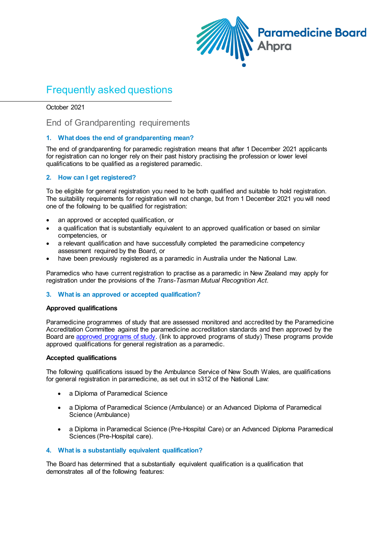

# Frequently asked questions

October 2021

# End of Grandparenting requirements

# **1. What does the end of grandparenting mean?**

The end of grandparenting for paramedic registration means that after 1 December 2021 applicants for registration can no longer rely on their past history practising the profession or lower level qualifications to be qualified as a registered paramedic.

# **2. How can I get registered?**

To be eligible for general registration you need to be both qualified and suitable to hold registration. The suitability requirements for registration will not change, but from 1 December 2021 you will need one of the following to be qualified for registration:

- an approved or accepted qualification, or
- a qualification that is substantially equivalent to an approved qualification or based on similar competencies, or
- a relevant qualification and have successfully completed the paramedicine competency assessment required by the Board, or
- have been previously registered as a paramedic in Australia under the National Law.

Paramedics who have current registration to practise as a paramedic in New Zealand may apply for registration under the provisions of the *Trans-Tasman Mutual Recognition Act*.

# **3. What is an approved or accepted qualification?**

# **Approved qualifications**

Paramedicine programmes of study that are assessed monitored and accredited by the Paramedicine Accreditation Committee against the paramedicine accreditation standards and then approved by the Board ar[e approved programs of study.](https://www.ahpra.gov.au/Accreditation/Approved-Programs-of-Study.aspx?ref=paramedicine) (link to approved programs of study) These programs provide approved qualifications for general registration as a paramedic.

# **Accepted qualifications**

The following qualifications issued by the Ambulance Service of New South Wales, are qualifications for general registration in paramedicine, as set out in s312 of the National Law:

- a Diploma of Paramedical Science
- a Diploma of Paramedical Science (Ambulance) or an Advanced Diploma of Paramedical Science (Ambulance)
- a Diploma in Paramedical Science (Pre-Hospital Care) or an Advanced Diploma Paramedical Sciences (Pre-Hospital care).

# **4. What is a substantially equivalent qualification?**

The Board has determined that a substantially equivalent qualification is a qualification that demonstrates all of the following features: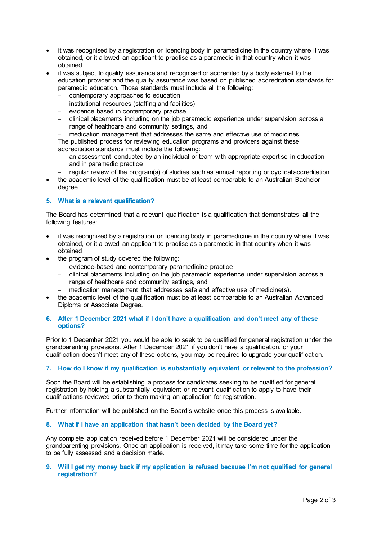- it was recognised by a registration or licencing body in paramedicine in the country where it was obtained, or it allowed an applicant to practise as a paramedic in that country when it was obtained
- it was subject to quality assurance and recognised or accredited by a body external to the education provider and the quality assurance was based on published accreditation standards for paramedic education. Those standards must include all the following:
	- − contemporary approaches to education
	- − institutional resources (staffing and facilities)
	- evidence based in contemporary practise
	- − clinical placements including on the job paramedic experience under supervision across a range of healthcare and community settings, and
	- medication management that addresses the same and effective use of medicines.

The published process for reviewing education programs and providers against these accreditation standards must include the following:

- an assessment conducted by an individual or team with appropriate expertise in education and in paramedic practice
- regular review of the program(s) of studies such as annual reporting or cyclical accreditation.
- the academic level of the qualification must be at least comparable to an Australian Bachelor degree.

# **5. What is a relevant qualification?**

The Board has determined that a relevant qualification is a qualification that demonstrates all the following features:

- it was recognised by a registration or licencing body in paramedicine in the country where it was obtained, or it allowed an applicant to practise as a paramedic in that country when it was obtained
- the program of study covered the following:
	- − evidence-based and contemporary paramedicine practice
	- − clinical placements including on the job paramedic experience under supervision across a range of healthcare and community settings, and
	- − medication management that addresses safe and effective use of medicine(s).
- the academic level of the qualification must be at least comparable to an Australian Advanced Diploma or Associate Degree.

# **6. After 1 December 2021 what if I don't have a qualification and don't meet any of these options?**

Prior to 1 December 2021 you would be able to seek to be qualified for general registration under the grandparenting provisions. After 1 December 2021 if you don't have a qualification, or your qualification doesn't meet any of these options, you may be required to upgrade your qualification.

# **7. How do I know if my qualification is substantially equivalent or relevant to the profession?**

Soon the Board will be establishing a process for candidates seeking to be qualified for general registration by holding a substantially equivalent or relevant qualification to apply to have their qualifications reviewed prior to them making an application for registration.

Further information will be published on the Board's website once this process is available.

# **8. What if I have an application that hasn't been decided by the Board yet?**

Any complete application received before 1 December 2021 will be considered under the grandparenting provisions. Once an application is received, it may take some time for the application to be fully assessed and a decision made.

# **9. Will I get my money back if my application is refused because I'm not qualified for general registration?**